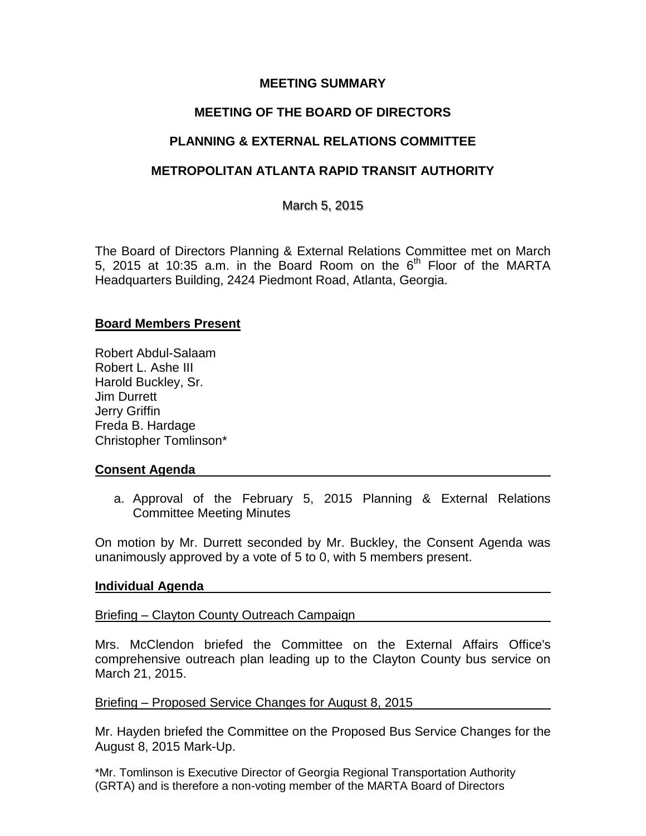## **MEETING SUMMARY**

# **MEETING OF THE BOARD OF DIRECTORS**

# **PLANNING & EXTERNAL RELATIONS COMMITTEE**

## **METROPOLITAN ATLANTA RAPID TRANSIT AUTHORITY**

March 5, 2015

The Board of Directors Planning & External Relations Committee met on March 5, 2015 at 10:35 a.m. in the Board Room on the  $6<sup>th</sup>$  Floor of the MARTA Headquarters Building, 2424 Piedmont Road, Atlanta, Georgia.

### **Board Members Present**

Robert Abdul-Salaam Robert L. Ashe III Harold Buckley, Sr. Jim Durrett Jerry Griffin Freda B. Hardage Christopher Tomlinson\*

### **Consent Agenda**

a. Approval of the February 5, 2015 Planning & External Relations Committee Meeting Minutes

On motion by Mr. Durrett seconded by Mr. Buckley, the Consent Agenda was unanimously approved by a vote of 5 to 0, with 5 members present.

#### **Individual Agenda**

Briefing – Clayton County Outreach Campaign

Mrs. McClendon briefed the Committee on the External Affairs Office's comprehensive outreach plan leading up to the Clayton County bus service on March 21, 2015.

#### Briefing – Proposed Service Changes for August 8, 2015

Mr. Hayden briefed the Committee on the Proposed Bus Service Changes for the August 8, 2015 Mark-Up.

\*Mr. Tomlinson is Executive Director of Georgia Regional Transportation Authority (GRTA) and is therefore a non-voting member of the MARTA Board of Directors